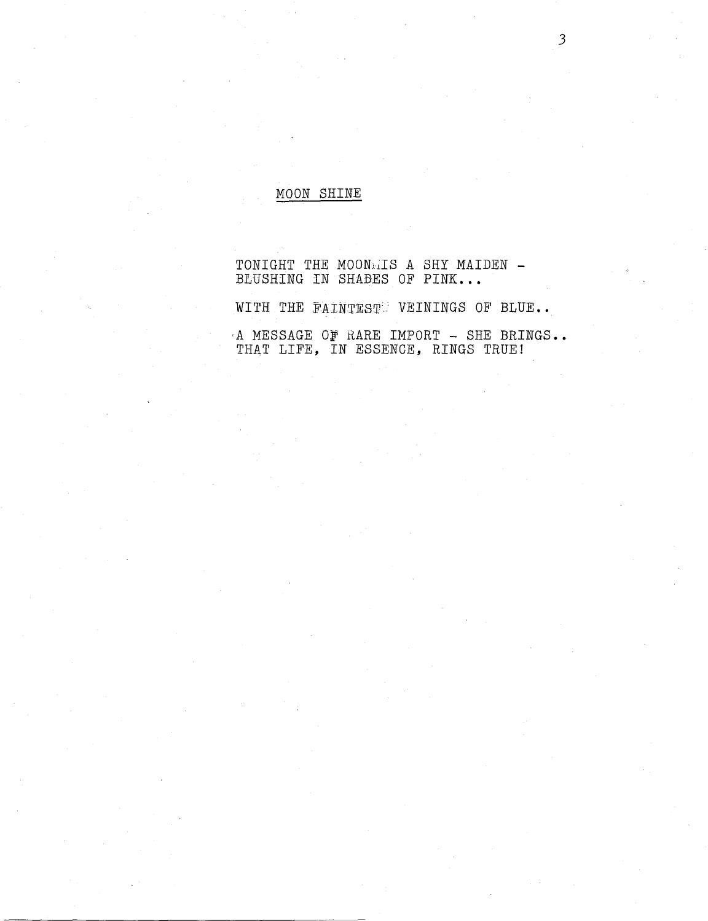## MOON SHINE

TONIGHT THE MOONNIS A SHY MAIDEN -BLUSHING IN SHADES OF PINK...

WITH THE FAINTEST VEININGS OF BLUE..

A MESSAGE OF RARE IMPORT - SHE BRINGS.. THAT LIFE, IN ESSENCE, RINGS TRUE!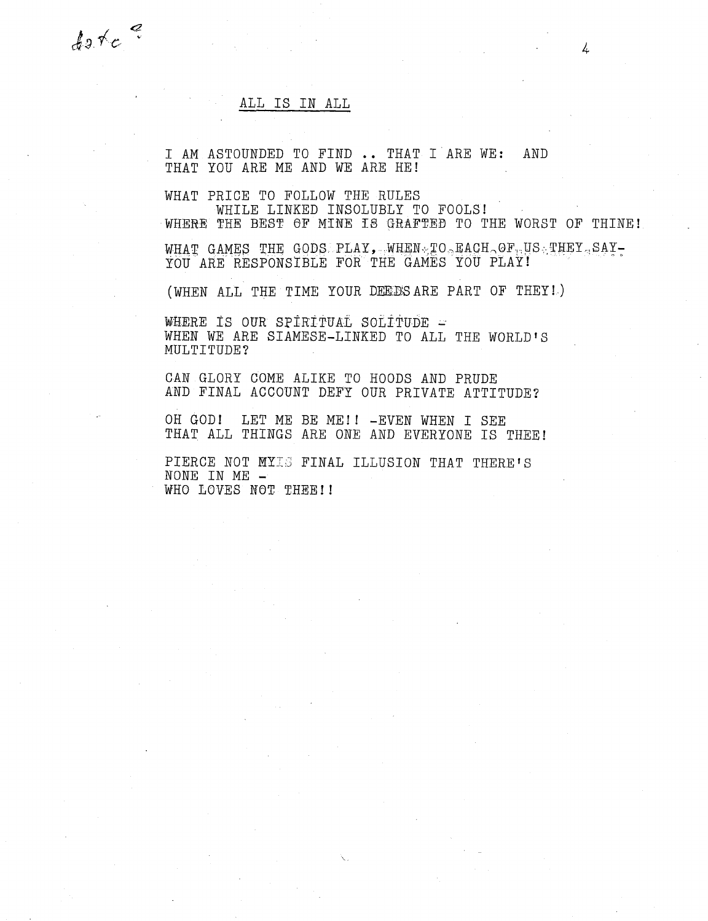ALL IS IN ALL

 $40$  tc  $\degree$ 

I AM ASTOUNDED TO FIND .. THAT I ARE WE: AND THAT YOU ARE ME AND WE ARE HE!

WHAT PRICE TO FOLLOW THE RULES WHILE LINKED INSOLUBLY TO FOOLS!

WHERE THE BEST OF MINE 18 GRAFTED TO THE WORST OF THINE!

WHAT GAMES THE GODS: PLAY, WHEN  $\chi$ TO  $\alpha$  EACH  $\alpha$ OF, US THEY  $\alpha$  SAY-YOU ARE RESPONSIBLE FOR THE GAMES YOU PLAY!

(WHEN ALL THE TIME YOUR DEEDSARE PART OF THEY!.)

WHERE IS OUR SPIRITUAL SOLITUDE = WHEN WE ARE SIAMESE-LINKED TO ALL THE WORLD'S MULTITUDE?

CAN GLORY COME ALIKE TO HOODS AND PRUDE AND FINAL ACCOUNT DEFY OUR PRIVATE ATTITUDE?

OH GOD! LET ME BE ME!! -EVEN WHEN I SEE THAT ALL THINGS ARE ONE AND EVERYONE IS THEE!

PIERCE NOT MYIS FINAL ILLUSION THAT THERE'S NONE IN ME - WHO LOVES NOT THEE!!